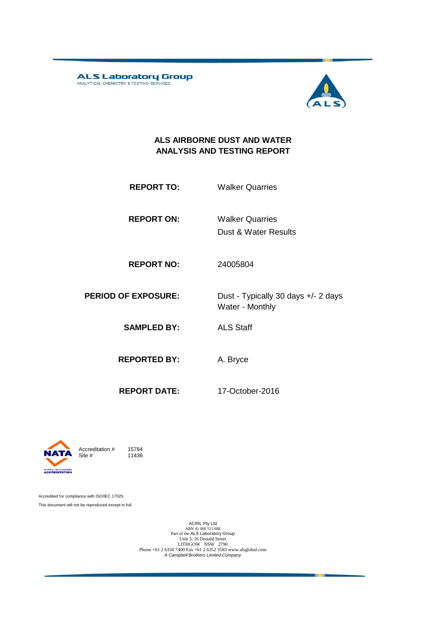ALS Laboratory Group



#### **ALS AIRBORNE DUST AND WATER ANALYSIS AND TESTING REPORT**

- **REPORT TO:** Walker Quarries
- **REPORT ON:** Dust & Water Results Walker Quarries
- **REPORT NO:** 24005804

**PERIOD OF EXPOSURE:** Dust - Typically 30 days +/- 2 days Water - Monthly

**SAMPLED BY:** ALS Staff

**REPORTED BY:** A. Bryce

**REPORT DATE:** 17-October-2016



Accreditation  $\#$  15784<br>Site  $\#$  11436 11436

Accredited for compliance with ISO/IEC 17025. This document will not be reproduced except in full.

> ACIRL Pty Ltd<br>
> ABN 41 000 513 888<br>
> Part of the ALS Laboratory Group<br>
> Unit 3, 16 Donald Street LITHGOW NSW 2790 Phone +61 2 6350 7400 Fax +61 2 6352 3583 www.alsglobal.com *A Campbell Brothers Limited Company*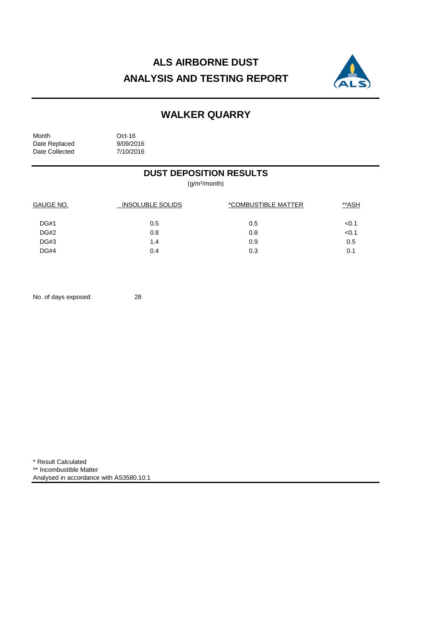# **ALS AIRBORNE DUST ANALYSIS AND TESTING REPORT**



## **WALKER QUARRY**

| Month          |  |  |  |
|----------------|--|--|--|
| Date Replaced  |  |  |  |
| Date Collected |  |  |  |

Oct-16 9/09/2016 7/10/2016

### **DUST DEPOSITION RESULTS**

(g/m²/month)

| <b>GAUGE NO.</b> | <b>INSOLUBLE SOLIDS</b> | <i><b>*COMBUSTIBLE MATTER</b></i> | **ASH |
|------------------|-------------------------|-----------------------------------|-------|
| <b>DG#1</b>      | 0.5                     | 0.5                               | < 0.1 |
| <b>DG#2</b>      | 0.8                     | 0.8                               | < 0.1 |
| DG#3             | 1.4                     | 0.9                               | 0.5   |
| DG#4             | 0.4                     | 0.3                               | 0.1   |

No. of days exposed: 28

\* Result Calculated \*\* Incombustible Matter Analysed in accordance with AS3580.10.1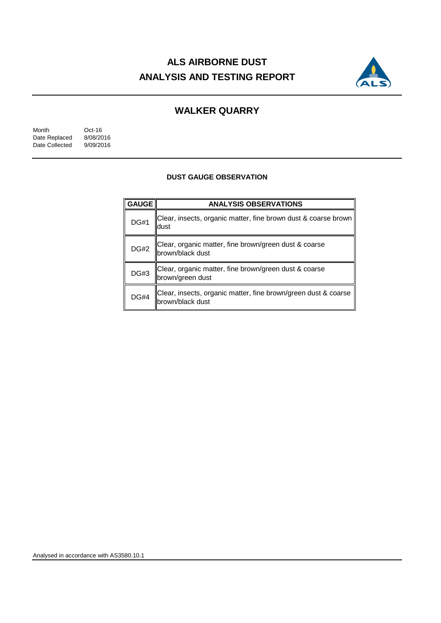# **ALS AIRBORNE DUST ANALYSIS AND TESTING REPORT**



### **WALKER QUARRY**

Month Oct-16<br>Date Replaced 8/08/2016 Date Replaced 8/08/2016<br>Date Collected 9/09/2016 Date Collected

#### **DUST GAUGE OBSERVATION**

| <b>GAUGE</b> | <b>ANALYSIS OBSERVATIONS</b>                                                       |  |  |  |
|--------------|------------------------------------------------------------------------------------|--|--|--|
| <b>DG#1</b>  | Clear, insects, organic matter, fine brown dust & coarse brown<br>ldust            |  |  |  |
| <b>DG#2</b>  | Clear, organic matter, fine brown/green dust & coarse<br> brown/black dust         |  |  |  |
| <b>DG#3</b>  | Clear, organic matter, fine brown/green dust & coarse<br>brown/green dust          |  |  |  |
| <b>DG#4</b>  | Clear, insects, organic matter, fine brown/green dust & coarse<br>brown/black dust |  |  |  |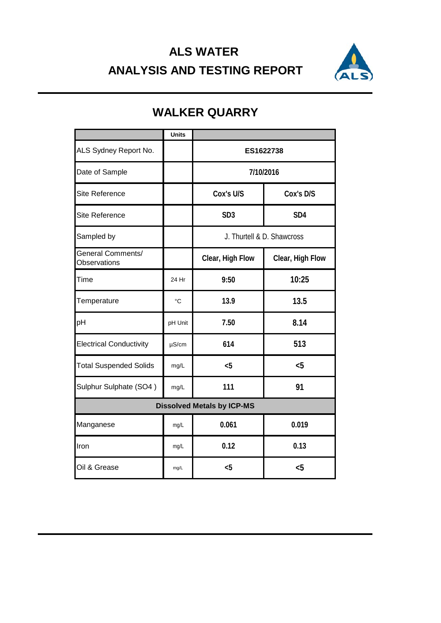## **ALS WATER ANALYSIS AND TESTING REPORT**



|                                                 | <b>Units</b> |                            |                  |  |
|-------------------------------------------------|--------------|----------------------------|------------------|--|
| ALS Sydney Report No.                           |              | ES1622738                  |                  |  |
| Date of Sample                                  |              | 7/10/2016                  |                  |  |
| <b>Site Reference</b>                           |              | Cox's U/S<br>Cox's D/S     |                  |  |
| <b>Site Reference</b>                           |              | SD <sub>3</sub>            | SD <sub>4</sub>  |  |
| Sampled by                                      |              | J. Thurtell & D. Shawcross |                  |  |
| <b>General Comments/</b><br><b>Observations</b> |              | Clear, High Flow           | Clear, High Flow |  |
| Time                                            | 24 Hr        | 9:50                       | 10:25            |  |
| Temperature                                     | $^{\circ}C$  | 13.9                       | 13.5             |  |
| pH                                              | pH Unit      | 7.50                       | 8.14             |  |
| <b>Electrical Conductivity</b>                  | $\mu$ S/cm   | 614                        | 513              |  |
| <b>Total Suspended Solids</b>                   | mg/L         | $5$                        | $5$              |  |
| Sulphur Sulphate (SO4)                          | mg/L         | 111                        | 91               |  |
| <b>Dissolved Metals by ICP-MS</b>               |              |                            |                  |  |
| Manganese                                       | mg/L         | 0.061                      | 0.019            |  |
| Iron                                            | mg/L         | 0.12                       | 0.13             |  |
| Oil & Grease                                    | mg/L         | $5$                        | $5$              |  |

## **WALKER QUARRY**